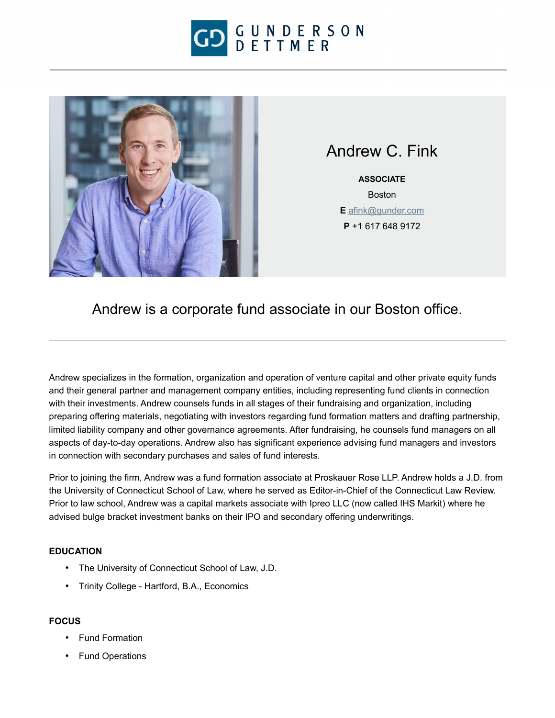



Andrew C. Fink

**ASSOCIATE** Boston **E** [afink@gunder.com](mailto:afink@gunder.com) **P** +1 617 648 9172

Andrew is a corporate fund associate in our Boston office.

Andrew specializes in the formation, organization and operation of venture capital and other private equity funds and their general partner and management company entities, including representing fund clients in connection with their investments. Andrew counsels funds in all stages of their fundraising and organization, including preparing offering materials, negotiating with investors regarding fund formation matters and drafting partnership, limited liability company and other governance agreements. After fundraising, he counsels fund managers on all aspects of day-to-day operations. Andrew also has significant experience advising fund managers and investors in connection with secondary purchases and sales of fund interests.

Prior to joining the firm, Andrew was a fund formation associate at Proskauer Rose LLP. Andrew holds a J.D. from the University of Connecticut School of Law, where he served as Editor-in-Chief of the Connecticut Law Review. Prior to law school, Andrew was a capital markets associate with Ipreo LLC (now called IHS Markit) where he advised bulge bracket investment banks on their IPO and secondary offering underwritings.

## **EDUCATION**

- The University of Connecticut School of Law, J.D.
- Trinity College Hartford, B.A., Economics

## **FOCUS**

- Fund Formation
- Fund Operations